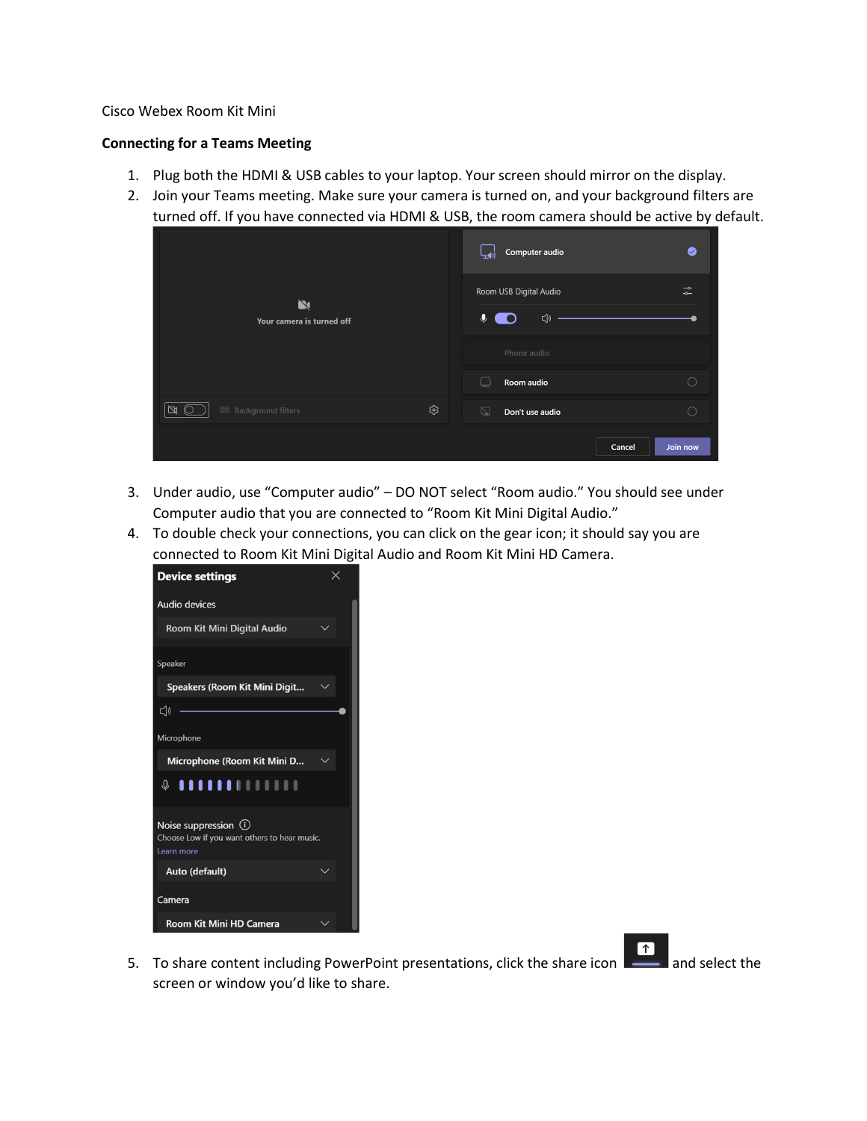## Cisco Webex Room Kit Mini

## **Connecting for a Teams Meeting**

- 1. Plug both the HDMI & USB cables to your laptop. Your screen should mirror on the display.
- 2. Join your Teams meeting. Make sure your camera is turned on, and your background filters are turned off. If you have connected via HDMI & USB, the room camera should be active by default.

|                                          |     | Computer audio                                   | $\bullet$                                           |
|------------------------------------------|-----|--------------------------------------------------|-----------------------------------------------------|
| $\mathbf N$<br>Your camera is turned off |     | Room USB Digital Audio<br>$\ddot{\bullet}$<br>⊲৷ | $\rightarrow$<br>$\overline{\phantom{0}}$           |
|                                          |     | Phone audio                                      |                                                     |
|                                          |     | Room audio<br>$\sqcup$                           | $\left( \begin{array}{c} \cdot \end{array} \right)$ |
| $\mathbb{N}$                             | భ్ర | ご<br>Don't use audio                             | C                                                   |
|                                          |     | Cancel                                           | Join now                                            |

- 3. Under audio, use "Computer audio" DO NOT select "Room audio." You should see under Computer audio that you are connected to "Room Kit Mini Digital Audio."
- 4. To double check your connections, you can click on the gear icon; it should say you are connected to Room Kit Mini Digital Audio and Room Kit Mini HD Camera.



 $\boxed{\uparrow}$ 5. To share content including PowerPoint presentations, click the share icon  $\Box$  and select the screen or window you'd like to share.